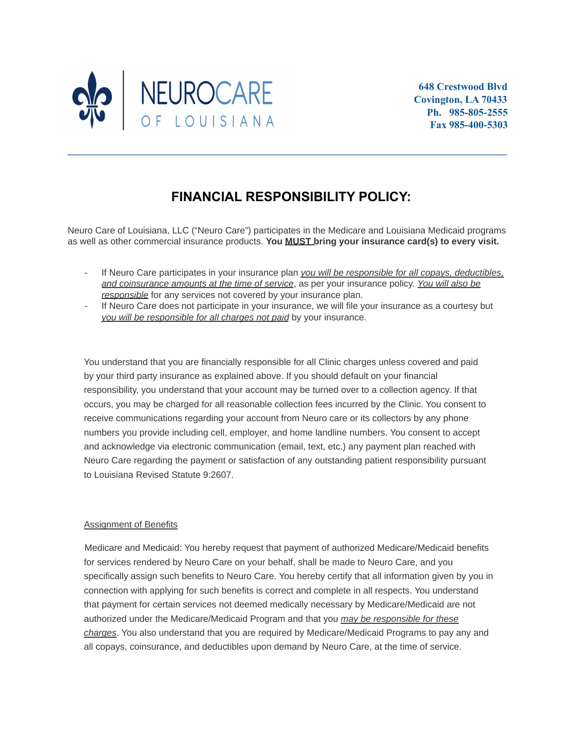

## **FINANCIAL RESPONSIBILITY POLICY:**

**\_\_\_\_\_\_\_\_\_\_\_\_\_\_\_\_\_\_\_\_\_\_\_\_\_\_\_\_\_\_\_\_\_\_\_\_\_\_\_\_\_\_\_\_\_\_\_\_\_\_\_\_\_\_\_\_\_\_\_\_\_\_\_\_\_\_\_\_\_\_\_\_\_\_\_\_\_\_\_\_\_\_\_\_\_**

Neuro Care of Louisiana, LLC ("Neuro Care") participates in the Medicare and Louisiana Medicaid programs as well as other commercial insurance products. **You MUST bring your insurance card(s) to every visit.**

- If Neuro Care participates in your insurance plan *you will be responsible for all copays, deductibles, and coinsurance amounts at the time of service*, as per your insurance policy. *You will also be responsible* for any services not covered by your insurance plan.
- If Neuro Care does not participate in your insurance, we will file your insurance as a courtesy but *you will be responsible for all charges not paid* by your insurance.

You understand that you are financially responsible for all Clinic charges unless covered and paid by your third party insurance as explained above. If you should default on your financial responsibility, you understand that your account may be turned over to a collection agency. If that occurs, you may be charged for all reasonable collection fees incurred by the Clinic. You consent to receive communications regarding your account from Neuro care or its collectors by any phone numbers you provide including cell, employer, and home landline numbers. You consent to accept and acknowledge via electronic communication (email, text, etc.) any payment plan reached with Neuro Care regarding the payment or satisfaction of any outstanding patient responsibility pursuant to Louisiana Revised Statute 9:2607.

## Assignment of Benefits

Medicare and Medicaid: You hereby request that payment of authorized Medicare/Medicaid benefits for services rendered by Neuro Care on your behalf, shall be made to Neuro Care, and you specifically assign such benefits to Neuro Care. You hereby certify that all information given by you in connection with applying for such benefits is correct and complete in all respects. You understand that payment for certain services not deemed medically necessary by Medicare/Medicaid are not authorized under the Medicare/Medicaid Program and that you *may be responsible for these charges*. You also understand that you are required by Medicare/Medicaid Programs to pay any and all copays, coinsurance, and deductibles upon demand by Neuro Care, at the time of service.